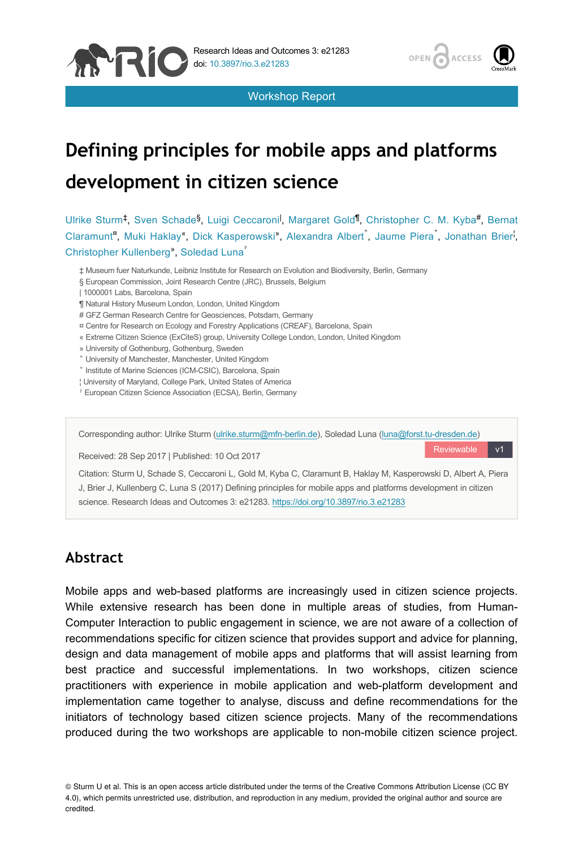

Workshop Report



Reviewable v1

# **Defining principles for mobile apps and platforms development in citizen science**

Ulrike Sturm<sup>‡</sup>, Sven Schade<sup>§</sup>, Luigi Ceccaroni<sup>l</sup>, Margaret Gold<sup>¶</sup>, Christopher C. M. Kyba<sup>#</sup>, Bernat Claramunt", Muki Haklay", Dick Kasperowski", Alexandra Albert, Jaume Piera, Jonathan Brier, Christopher Kullenberg<sup>®</sup>, Soledad Luna

- ‡ Museum fuer Naturkunde, Leibniz Institute for Research on Evolution and Biodiversity, Berlin, Germany
- § European Commission, Joint Research Centre (JRC), Brussels, Belgium
- | 1000001 Labs, Barcelona, Spain
- ¶ Natural History Museum London, London, United Kingdom
- # GFZ German Research Centre for Geosciences, Potsdam, Germany
- ¤ Centre for Research on Ecology and Forestry Applications (CREAF), Barcelona, Spain
- « Extreme Citizen Science (ExCiteS) group, University College London, London, United Kingdom
- » University of Gothenburg, Gothenburg, Sweden
- ˄ University of Manchester, Manchester, United Kingdom
- ˅ Institute of Marine Sciences (ICM-CSIC), Barcelona, Spain
- ¦ University of Maryland, College Park, United States of America
- ˀ European Citizen Science Association (ECSA), Berlin, Germany

Corresponding author: Ulrike Sturm [\(ulrike.sturm@mfn-berlin.de](mailto:ulrike.sturm@mfn-berlin.de)), Soledad Luna [\(luna@forst.tu-dresden.de](mailto:luna@forst.tu-dresden.de))

Received: 28 Sep 2017 | Published: 10 Oct 2017

Citation: Sturm U, Schade S, Ceccaroni L, Gold M, Kyba C, Claramunt B, Haklay M, Kasperowski D, Albert A, Piera J, Brier J, Kullenberg C, Luna S (2017) Defining principles for mobile apps and platforms development in citizen science. Research Ideas and Outcomes 3: e21283.<https://doi.org/10.3897/rio.3.e21283>

# **Abstract**

Mobile apps and web-based platforms are increasingly used in citizen science projects. While extensive research has been done in multiple areas of studies, from Human-Computer Interaction to public engagement in science, we are not aware of a collection of recommendations specific for citizen science that provides support and advice for planning, design and data management of mobile apps and platforms that will assist learning from best practice and successful implementations. In two workshops, citizen science practitioners with experience in mobile application and web-platform development and implementation came together to analyse, discuss and define recommendations for the initiators of technology based citizen science projects. Many of the recommendations produced during the two workshops are applicable to non-mobile citizen science project.

© Sturm U et al. This is an open access article distributed under the terms of the Creative Commons Attribution License (CC BY 4.0), which permits unrestricted use, distribution, and reproduction in any medium, provided the original author and source are credited.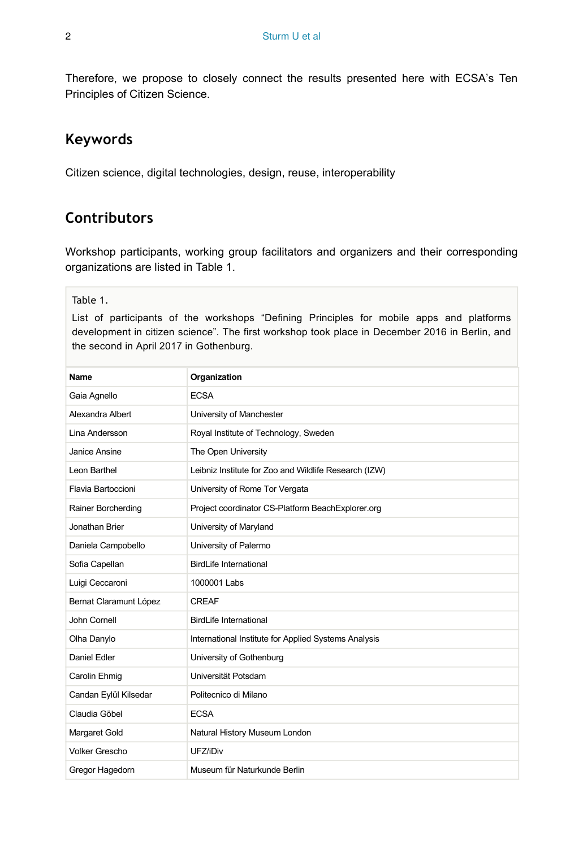Therefore, we propose to closely connect the results presented here with ECSA's Ten Principles of Citizen Science.

### **Keywords**

Citizen science, digital technologies, design, reuse, interoperability

# **Contributors**

Workshop participants, working group facilitators and organizers and their corresponding organizations are listed in Table 1.

Table 1.

List of participants of the workshops "Defining Principles for mobile apps and platforms development in citizen science". The first workshop took place in December 2016 in Berlin, and the second in April 2017 in Gothenburg.

| <b>Name</b>            | Organization                                          |
|------------------------|-------------------------------------------------------|
| Gaia Agnello           | <b>ECSA</b>                                           |
| Alexandra Albert       | University of Manchester                              |
| Lina Andersson         | Royal Institute of Technology, Sweden                 |
| Janice Ansine          | The Open University                                   |
| Leon Barthel           | Leibniz Institute for Zoo and Wildlife Research (IZW) |
| Flavia Bartoccioni     | University of Rome Tor Vergata                        |
| Rainer Borcherding     | Project coordinator CS-Platform BeachExplorer.org     |
| Jonathan Brier         | University of Maryland                                |
| Daniela Campobello     | University of Palermo                                 |
| Sofia Capellan         | <b>BirdLife International</b>                         |
| Luigi Ceccaroni        | 1000001 Labs                                          |
| Bernat Claramunt López | <b>CREAF</b>                                          |
| John Cornell           | <b>BirdLife International</b>                         |
| Olha Danylo            | International Institute for Applied Systems Analysis  |
| Daniel Edler           | University of Gothenburg                              |
| Carolin Ehmig          | Universität Potsdam                                   |
| Candan Eylül Kilsedar  | Politecnico di Milano                                 |
| Claudia Göbel          | <b>ECSA</b>                                           |
| Margaret Gold          | Natural History Museum London                         |
| <b>Volker Grescho</b>  | UFZ/iDiv                                              |
| Gregor Hagedorn        | Museum für Naturkunde Berlin                          |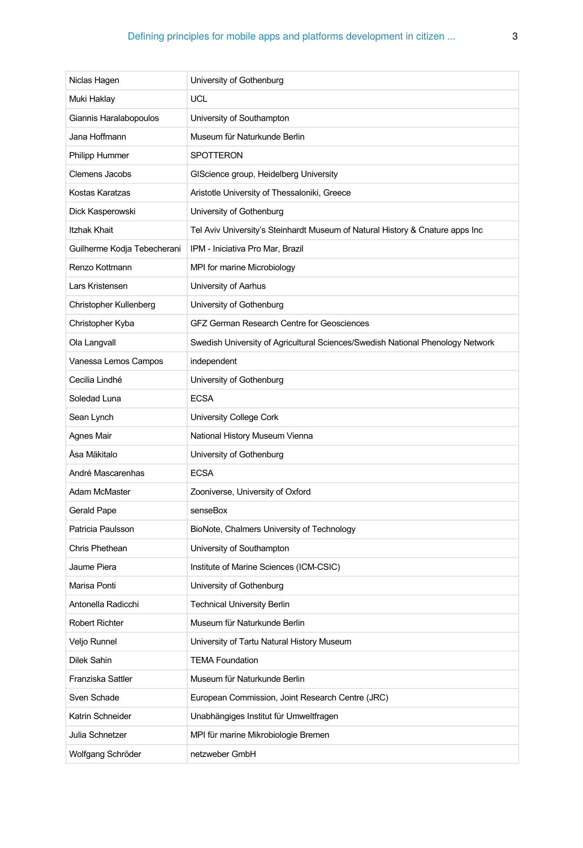| Niclas Hagen                | University of Gothenburg                                                       |
|-----------------------------|--------------------------------------------------------------------------------|
| Muki Haklay                 | UCL                                                                            |
| Giannis Haralabopoulos      | University of Southampton                                                      |
| Jana Hoffmann               | Museum für Naturkunde Berlin                                                   |
| Philipp Hummer              | <b>SPOTTERON</b>                                                               |
| <b>Clemens Jacobs</b>       | GIScience group, Heidelberg University                                         |
| Kostas Karatzas             | Aristotle University of Thessaloniki, Greece                                   |
| Dick Kasperowski            | University of Gothenburg                                                       |
| <b>Itzhak Khait</b>         | Tel Aviv University's Steinhardt Museum of Natural History & Cnature apps Inc  |
| Guilherme Kodja Tebecherani | IPM - Iniciativa Pro Mar, Brazil                                               |
| Renzo Kottmann              | MPI for marine Microbiology                                                    |
| Lars Kristensen             | University of Aarhus                                                           |
| Christopher Kullenberg      | University of Gothenburg                                                       |
| Christopher Kyba            | GFZ German Research Centre for Geosciences                                     |
| Ola Langvall                | Swedish University of Agricultural Sciences/Swedish National Phenology Network |
| Vanessa Lemos Campos        | independent                                                                    |
| Cecilia Lindhé              | University of Gothenburg                                                       |
| Soledad Luna                | <b>ECSA</b>                                                                    |
| Sean Lynch                  | University College Cork                                                        |
| Agnes Mair                  | National History Museum Vienna                                                 |
| Åsa Mäkitalo                | University of Gothenburg                                                       |
| André Mascarenhas           | <b>ECSA</b>                                                                    |
| Adam McMaster               | Zooniverse, University of Oxford                                               |
| Gerald Pape                 | senseBox                                                                       |
| Patricia Paulsson           | BioNote, Chalmers University of Technology                                     |
| Chris Phethean              | University of Southampton                                                      |
| Jaume Piera                 | Institute of Marine Sciences (ICM-CSIC)                                        |
| Marisa Ponti                | University of Gothenburg                                                       |
| Antonella Radicchi          | <b>Technical University Berlin</b>                                             |
| <b>Robert Richter</b>       | Museum für Naturkunde Berlin                                                   |
| Veljo Runnel                | University of Tartu Natural History Museum                                     |
| Dilek Sahin                 | <b>TEMA Foundation</b>                                                         |
| Franziska Sattler           | Museum für Naturkunde Berlin                                                   |
| Sven Schade                 | European Commission, Joint Research Centre (JRC)                               |
| Katrin Schneider            | Unabhängiges Institut für Umweltfragen                                         |
| Julia Schnetzer             | MPI für marine Mikrobiologie Bremen                                            |
| Wolfgang Schröder           | netzweber GmbH                                                                 |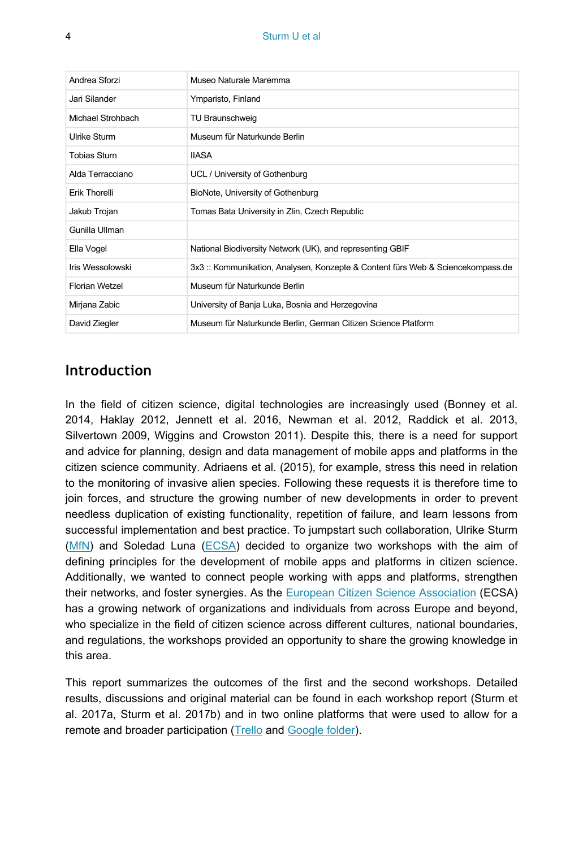| Andrea Sforzi       | Museo Naturale Maremma                                                        |
|---------------------|-------------------------------------------------------------------------------|
| Jari Silander       | Ymparisto, Finland                                                            |
| Michael Strohbach   | TU Braunschweig                                                               |
| Ulrike Sturm        | Museum für Naturkunde Berlin                                                  |
| <b>Tobias Sturn</b> | <b>IIASA</b>                                                                  |
| Alda Terracciano    | UCL / University of Gothenburg                                                |
| Erik Thorelli       | BioNote, University of Gothenburg                                             |
| Jakub Trojan        | Tomas Bata University in Zlin, Czech Republic                                 |
| Gunilla Ullman      |                                                                               |
| Ella Vogel          | National Biodiversity Network (UK), and representing GBIF                     |
| Iris Wessolowski    | 3x3: Kommunikation, Analysen, Konzepte & Content fürs Web & Sciencekompass.de |
| Florian Wetzel      | Museum für Naturkunde Berlin                                                  |
| Mirjana Zabic       | University of Banja Luka, Bosnia and Herzegovina                              |
| David Ziegler       | Museum für Naturkunde Berlin, German Citizen Science Platform                 |

### **Introduction**

In the field of citizen science, digital technologies are increasingly used (Bonney et al. 2014, Haklay 2012, Jennett et al. 2016, Newman et al. 2012, Raddick et al. 2013, Silvertown 2009, Wiggins and Crowston 2011). Despite this, there is a need for support and advice for planning, design and data management of mobile apps and platforms in the citizen science community. Adriaens et al. (2015), for example, stress this need in relation to the monitoring of invasive alien species. Following these requests it is therefore time to join forces, and structure the growing number of new developments in order to prevent needless duplication of existing functionality, repetition of failure, and learn lessons from successful implementation and best practice. To jumpstart such collaboration, Ulrike Sturm [\(MfN\)](https://www.naturkundemuseum.berlin/) and Soledad Luna ([ECSA](https://ecsa.citizen-science.net/)) decided to organize two workshops with the aim of defining principles for the development of mobile apps and platforms in citizen science. Additionally, we wanted to connect people working with apps and platforms, strengthen their networks, and foster synergies. As the [European Citizen Science Association](https://ecsa.citizen-science.net/) (ECSA) has a growing network of organizations and individuals from across Europe and beyond, who specialize in the field of citizen science across different cultures, national boundaries, and regulations, the workshops provided an opportunity to share the growing knowledge in this area.

This report summarizes the outcomes of the first and the second workshops. Detailed results, discussions and original material can be found in each workshop report (Sturm et al. 2017a, Sturm et al. 2017b) and in two online platforms that were used to allow for a remote and broader participation ([Trello](https://trello.com/b/jKXYC1IP/second-workshop-defining-principles-for-apps-and-platforms-for-citizen-science) and [Google folder\)](https://drive.google.com/drive/folders/0B7OC90YMxUOXTDktTEZZMWliM00).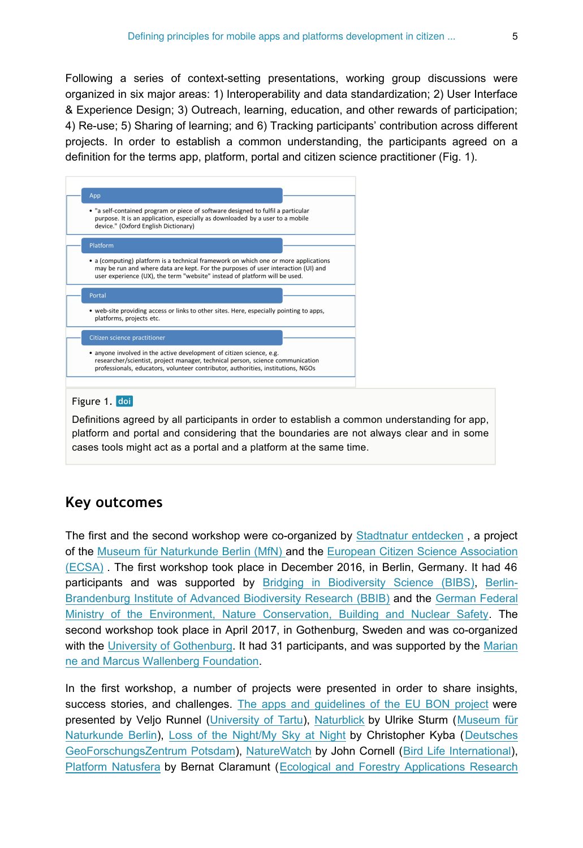Following a series of context-setting presentations, working group discussions were organized in six major areas: 1) Interoperability and data standardization; 2) User Interface & Experience Design; 3) Outreach, learning, education, and other rewards of participation; 4) Re-use; 5) Sharing of learning; and 6) Tracking participants' contribution across different projects. In order to establish a common understanding, the participants agreed on a definition for the terms app, platform, portal and citizen science practitioner (Fig. 1).



#### Figure 1. doi

Definitions agreed by all participants in order to establish a common understanding for app, platform and portal and considering that the boundaries are not always clear and in some cases tools might act as a portal and a platform at the same time.

### **Key outcomes**

The first and the second workshop were co-organized by [Stadtnatur entdecken](http://naturblick.naturkundemuseum.berlin/) , a project of the [Museum für Naturkunde Berlin \(MfN\)](https://www.naturkundemuseum.berlin/) and the [European Citizen Science Association](https://ecsa.citizen-science.net/) [\(ECSA\)](https://ecsa.citizen-science.net/) . The first workshop took place in December 2016, in Berlin, Germany. It had 46 participants and was supported by [Bridging in Biodiversity Science \(BIBS\)](https://www.bbib.org/bibs-project.html), [Berlin-](https://www.bbib.org/home.html)[Brandenburg Institute of Advanced Biodiversity Research \(BBIB\)](https://www.bbib.org/home.html) and the [German Federal](http://www.bmub.bund.de/en/) [Ministry of the Environment, Nature Conservation, Building and Nuclear Safety.](http://www.bmub.bund.de/en/) The second workshop took place in April 2017, in Gothenburg, Sweden and was co-organized with the [University of Gothenburg](http://www.gu.se/). It had 31 participants, and was supported by the [Marian](https://www.wallenberg.com/mmw/en) [ne and Marcus Wallenberg Foundation.](https://www.wallenberg.com/mmw/en)

In the first workshop, a number of projects were presented in order to share insights, success stories, and challenges. [The apps and guidelines of the EU BON project](https://drive.google.com/file/d/0B7OC90YMxUOXQkhCcVZIYjJYWjQ/view) were presented by Veljo Runnel [\(University of Tartu](https://www.ut.ee/en)), [Naturblick](https://drive.google.com/file/d/0B7OC90YMxUOXN0JlbDc3dl9mV0E/view) by Ulrike Sturm ([Museum für](https://www.naturkundemuseum.berlin/) [Naturkunde Berlin\)](https://www.naturkundemuseum.berlin/), [Loss of the Night/My Sky at Night](https://drive.google.com/file/d/0B7OC90YMxUOXenM0QWkyMGozWVk/view) by Christopher Kyba ([Deutsches](http://www.gfz-potsdam.de/startseite/) [GeoForschungsZentrum Potsdam\)](http://www.gfz-potsdam.de/startseite/), [NatureWatch](https://drive.google.com/file/d/0B7OC90YMxUOXWDZsUUtIa3hIUzg/view) by John Cornell ([Bird Life International\)](http://www.birdlife.org/), [Platform Natusfera](https://drive.google.com/file/d/0B7OC90YMxUOXOVgya2szUVZpN1k/view) by Bernat Claramunt ([Ecological and Forestry Applications Research](http://www.creaf.cat/)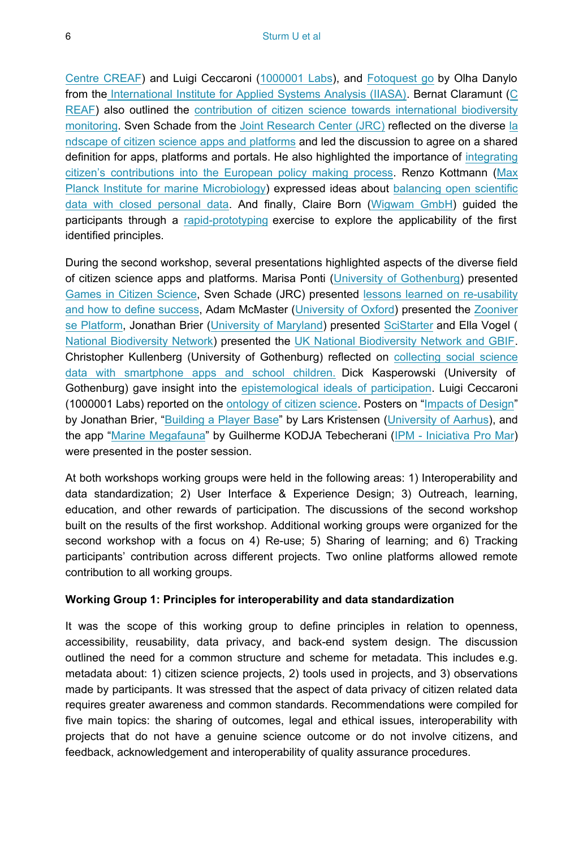[Centre CREAF\)](http://www.creaf.cat/) and Luigi Ceccaroni [\(1000001 Labs\)](http://www.1000001labs.org/), and [Fotoquest go](https://drive.google.com/file/d/0B7OC90YMxUOXdEhRZWw3RzRGYXc/view) by Olha Danylo from the [International Institute for Applied Systems Analysis \(IIASA\)](http://www.iiasa.ac.at/). Bernat Claramunt ([C](http://www.creaf.cat/) [REAF](http://www.creaf.cat/)) also outlined the [contribution of citizen science towards international biodiversity](https://drive.google.com/file/d/0B7OC90YMxUOXSGRSQ1k3elh0QmM/view) [monitoring](https://drive.google.com/file/d/0B7OC90YMxUOXSGRSQ1k3elh0QmM/view). Sven Schade from the [Joint Research Center \(JRC\)](https://ec.europa.eu/jrc/en) reflected on the diverse [la](https://drive.google.com/file/d/0B7OC90YMxUOXV0E4dVNMVzlPaE0/view) [ndscape of citizen science apps and platforms](https://drive.google.com/file/d/0B7OC90YMxUOXV0E4dVNMVzlPaE0/view) and led the discussion to agree on a shared definition for apps, platforms and portals. He also highlighted the importance of [integrating](https://drive.google.com/file/d/0B7OC90YMxUOXU2gxN1NncjByNVU/view) [citizen's contributions into the European policy making process](https://drive.google.com/file/d/0B7OC90YMxUOXU2gxN1NncjByNVU/view). Renzo Kottmann [\(Max](https://www.mpi-bremen.de/en/Home.html) [Planck Institute for marine Microbiology](https://www.mpi-bremen.de/en/Home.html)) expressed ideas about [balancing open scientific](https://drive.google.com/file/d/0B7OC90YMxUOXWENEN0swMDJFamM/view?usp=drive_web) [data with closed personal data.](https://drive.google.com/file/d/0B7OC90YMxUOXWENEN0swMDJFamM/view?usp=drive_web) And finally, Claire Born ([Wigwam GmbH\)](https://wigwam.im/) guided the participants through a [rapid-prototyping](https://drive.google.com/file/d/0B78VoDtfxp8dUjd4QnhfQWk3NUk/view) exercise to explore the applicability of the first identified principles.

During the second workshop, several presentations highlighted aspects of the diverse field of citizen science apps and platforms. Marisa Ponti ([University of Gothenburg\)](http://www.gu.se/english) presented [Games in Citizen Science,](https://drive.google.com/file/d/0B0gdhkkKAubeTXEyVGRLTGs0SjQ/view) Sven Schade (JRC) presented [lessons learned on re-usability](https://drive.google.com/file/d/0B78VoDtfxp8dbi1RTjZwSzdGeE0/view) [and how to define success,](https://drive.google.com/file/d/0B78VoDtfxp8dbi1RTjZwSzdGeE0/view) Adam McMaster ([University of Oxford](http://www.ox.ac.uk/)) presented the [Zooniver](https://drive.google.com/file/d/0B78VoDtfxp8dN0E5aDRZWXRueDA/view) [se Platform](https://drive.google.com/file/d/0B78VoDtfxp8dN0E5aDRZWXRueDA/view), Jonathan Brier ([University of Maryland\)](https://www.umd.edu/) presented [SciStarter](https://drive.google.com/file/d/0B78VoDtfxp8dZC1zdVNRcjlKbE0/view) and Ella Vogel ( [National Biodiversity Network\)](https://nbn.org.uk/) presented the [UK National Biodiversity Network and GBIF.](https://drive.google.com/file/d/0B78VoDtfxp8dZ2ZvT0RmLS1MeG8/view) Christopher Kullenberg (University of Gothenburg) reflected on [collecting social science](https://scientometrics.flov.gu.se/presentations/GBGworkshop.html#/) [data with smartphone apps and school children.](https://scientometrics.flov.gu.se/presentations/GBGworkshop.html#/) Dick Kasperowski (University of Gothenburg) gave insight into the [epistemological ideals of participation](https://drive.google.com/file/d/0B78VoDtfxp8dZ19nQXd3OVB0Y1U/view). Luigi Ceccaroni (1000001 Labs) reported on the [ontology of citizen science.](https://drive.google.com/file/d/0B78VoDtfxp8dMy1Ucm9iVi00bHM/view) Posters on ["Impacts of Design](https://drive.google.com/file/d/0B5r-DREYiek-R04zV2lZY2pEblU/view)" by Jonathan Brier, ["Building a Player Base"](https://drive.google.com/file/d/0BwuT7y5cHwOHR05sSjN1d0x5QjA/view) by Lars Kristensen ([University of Aarhus\)](http://www.au.dk/en/), and the app ["Marine Megafauna"](https://drive.google.com/file/d/0B78VoDtfxp8dNkRPTFFEYVJYZmM/view) by Guilherme KODJA Tebecherani [\(IPM - Iniciativa Pro Mar](http://www.ipromar.org.br/)) were presented in the poster session.

At both workshops working groups were held in the following areas: 1) Interoperability and data standardization; 2) User Interface & Experience Design; 3) Outreach, learning, education, and other rewards of participation. The discussions of the second workshop built on the results of the first workshop. Additional working groups were organized for the second workshop with a focus on 4) Re-use; 5) Sharing of learning; and 6) Tracking participants' contribution across different projects. Two online platforms allowed remote contribution to all working groups.

#### **Working Group 1: Principles for interoperability and data standardization**

It was the scope of this working group to define principles in relation to openness, accessibility, reusability, data privacy, and back-end system design. The discussion outlined the need for a common structure and scheme for metadata. This includes e.g. metadata about: 1) citizen science projects, 2) tools used in projects, and 3) observations made by participants. It was stressed that the aspect of data privacy of citizen related data requires greater awareness and common standards. Recommendations were compiled for five main topics: the sharing of outcomes, legal and ethical issues, interoperability with projects that do not have a genuine science outcome or do not involve citizens, and feedback, acknowledgement and interoperability of quality assurance procedures.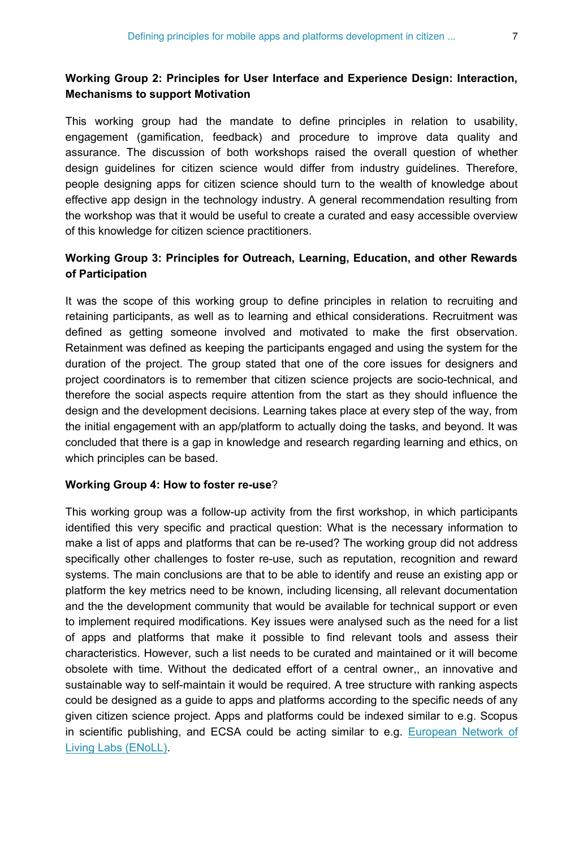### **Working Group 2: Principles for User Interface and Experience Design: Interaction, Mechanisms to support Motivation**

This working group had the mandate to define principles in relation to usability, engagement (gamification, feedback) and procedure to improve data quality and assurance. The discussion of both workshops raised the overall question of whether design guidelines for citizen science would differ from industry guidelines. Therefore, people designing apps for citizen science should turn to the wealth of knowledge about effective app design in the technology industry. A general recommendation resulting from the workshop was that it would be useful to create a curated and easy accessible overview of this knowledge for citizen science practitioners.

### **Working Group 3: Principles for Outreach, Learning, Education, and other Rewards of Participation**

It was the scope of this working group to define principles in relation to recruiting and retaining participants, as well as to learning and ethical considerations. Recruitment was defined as getting someone involved and motivated to make the first observation. Retainment was defined as keeping the participants engaged and using the system for the duration of the project. The group stated that one of the core issues for designers and project coordinators is to remember that citizen science projects are socio-technical, and therefore the social aspects require attention from the start as they should influence the design and the development decisions. Learning takes place at every step of the way, from the initial engagement with an app/platform to actually doing the tasks, and beyond. It was concluded that there is a gap in knowledge and research regarding learning and ethics, on which principles can be based.

#### **Working Group 4: How to foster re-use**?

This working group was a follow-up activity from the first workshop, in which participants identified this very specific and practical question: What is the necessary information to make a list of apps and platforms that can be re-used? The working group did not address specifically other challenges to foster re-use, such as reputation, recognition and reward systems. The main conclusions are that to be able to identify and reuse an existing app or platform the key metrics need to be known, including licensing, all relevant documentation and the the development community that would be available for technical support or even to implement required modifications. Key issues were analysed such as the need for a list of apps and platforms that make it possible to find relevant tools and assess their characteristics. However, such a list needs to be curated and maintained or it will become obsolete with time. Without the dedicated effort of a central owner,, an innovative and sustainable way to self-maintain it would be required. A tree structure with ranking aspects could be designed as a guide to apps and platforms according to the specific needs of any given citizen science project. Apps and platforms could be indexed similar to e.g. Scopus in scientific publishing, and ECSA could be acting similar to e.g. [European Network of](http://www.openlivinglabs.eu/) [Living Labs \(ENoLL\).](http://www.openlivinglabs.eu/)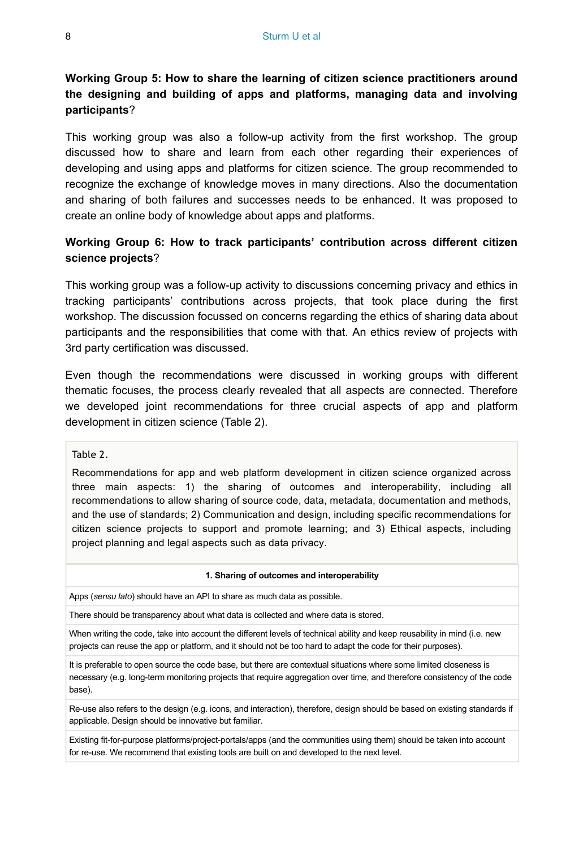### **Working Group 5: How to share the learning of citizen science practitioners around the designing and building of apps and platforms, managing data and involving participants**?

This working group was also a follow-up activity from the first workshop. The group discussed how to share and learn from each other regarding their experiences of developing and using apps and platforms for citizen science. The group recommended to recognize the exchange of knowledge moves in many directions. Also the documentation and sharing of both failures and successes needs to be enhanced. It was proposed to create an online body of knowledge about apps and platforms.

### **Working Group 6: How to track participants' contribution across different citizen science projects**?

This working group was a follow-up activity to discussions concerning privacy and ethics in tracking participants' contributions across projects, that took place during the first workshop. The discussion focussed on concerns regarding the ethics of sharing data about participants and the responsibilities that come with that. An ethics review of projects with 3rd party certification was discussed.

Even though the recommendations were discussed in working groups with different thematic focuses, the process clearly revealed that all aspects are connected. Therefore we developed joint recommendations for three crucial aspects of app and platform development in citizen science (Table 2).

#### Table 2.

Recommendations for app and web platform development in citizen science organized across three main aspects: 1) the sharing of outcomes and interoperability, including all recommendations to allow sharing of source code, data, metadata, documentation and methods, and the use of standards; 2) Communication and design, including specific recommendations for citizen science projects to support and promote learning; and 3) Ethical aspects, including project planning and legal aspects such as data privacy.

#### **1. Sharing of outcomes and interoperability**

Apps (*sensu lato*) should have an API to share as much data as possible.

There should be transparency about what data is collected and where data is stored.

When writing the code, take into account the different levels of technical ability and keep reusability in mind (i.e. new projects can reuse the app or platform, and it should not be too hard to adapt the code for their purposes).

It is preferable to open source the code base, but there are contextual situations where some limited closeness is necessary (e.g. long-term monitoring projects that require aggregation over time, and therefore consistency of the code base).

Re-use also refers to the design (e.g. icons, and interaction), therefore, design should be based on existing standards if applicable. Design should be innovative but familiar.

Existing fit-for-purpose platforms/project-portals/apps (and the communities using them) should be taken into account for re-use. We recommend that existing tools are built on and developed to the next level.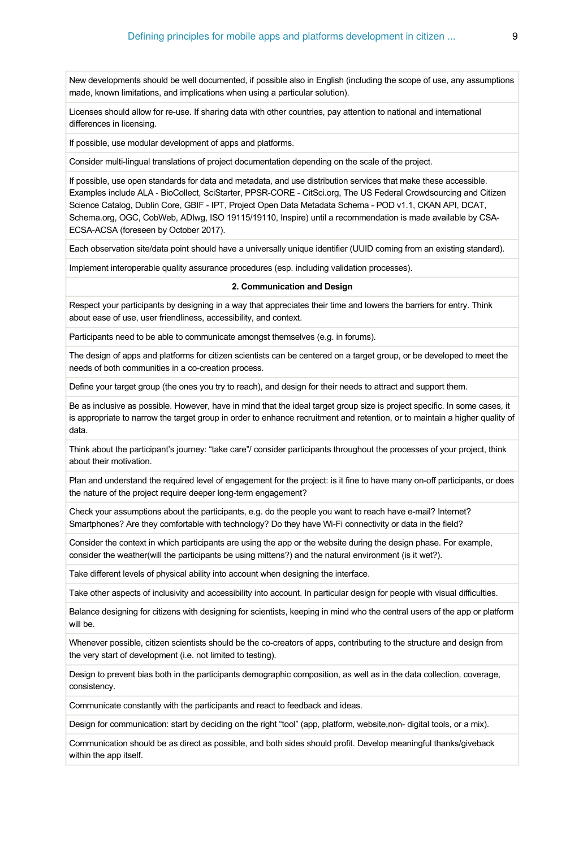New developments should be well documented, if possible also in English (including the scope of use, any assumptions made, known limitations, and implications when using a particular solution).

Licenses should allow for re-use. If sharing data with other countries, pay attention to national and international differences in licensing.

If possible, use modular development of apps and platforms.

Consider multi-lingual translations of project documentation depending on the scale of the project.

If possible, use open standards for data and metadata, and use distribution services that make these accessible. Examples include ALA - BioCollect, SciStarter, PPSR-CORE - CitSci.org, The US Federal Crowdsourcing and Citizen Science Catalog, Dublin Core, GBIF - IPT, Project Open Data Metadata Schema - POD v1.1, CKAN API, DCAT, Schema.org, OGC, CobWeb, ADIwg, ISO 19115/19110, Inspire) until a recommendation is made available by CSA-ECSA-ACSA (foreseen by October 2017).

Each observation site/data point should have a universally unique identifier (UUID coming from an existing standard).

Implement interoperable quality assurance procedures (esp. including validation processes).

#### **2. Communication and Design**

Respect your participants by designing in a way that appreciates their time and lowers the barriers for entry. Think about ease of use, user friendliness, accessibility, and context.

Participants need to be able to communicate amongst themselves (e.g. in forums).

The design of apps and platforms for citizen scientists can be centered on a target group, or be developed to meet the needs of both communities in a co-creation process.

Define your target group (the ones you try to reach), and design for their needs to attract and support them.

Be as inclusive as possible. However, have in mind that the ideal target group size is project specific. In some cases, it is appropriate to narrow the target group in order to enhance recruitment and retention, or to maintain a higher quality of data.

Think about the participant's journey: "take care"/ consider participants throughout the processes of your project, think about their motivation.

Plan and understand the required level of engagement for the project: is it fine to have many on-off participants, or does the nature of the project require deeper long-term engagement?

Check your assumptions about the participants, e.g. do the people you want to reach have e-mail? Internet? Smartphones? Are they comfortable with technology? Do they have Wi-Fi connectivity or data in the field?

Consider the context in which participants are using the app or the website during the design phase. For example, consider the weather(will the participants be using mittens?) and the natural environment (is it wet?).

Take different levels of physical ability into account when designing the interface.

Take other aspects of inclusivity and accessibility into account. In particular design for people with visual difficulties.

Balance designing for citizens with designing for scientists, keeping in mind who the central users of the app or platform will be.

Whenever possible, citizen scientists should be the co-creators of apps, contributing to the structure and design from the very start of development (i.e. not limited to testing).

Design to prevent bias both in the participants demographic composition, as well as in the data collection, coverage, consistency.

Communicate constantly with the participants and react to feedback and ideas.

Design for communication: start by deciding on the right "tool" (app, platform, website,non- digital tools, or a mix).

Communication should be as direct as possible, and both sides should profit. Develop meaningful thanks/giveback within the app itself.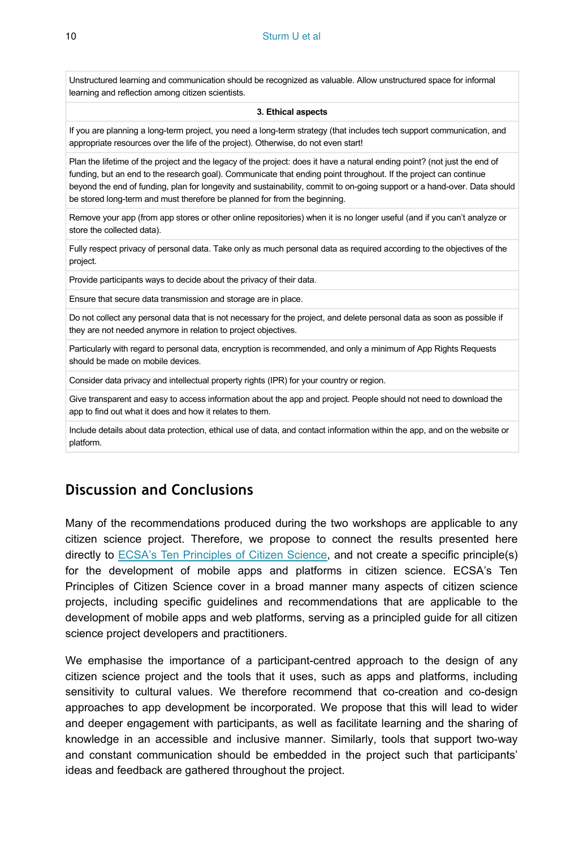Unstructured learning and communication should be recognized as valuable. Allow unstructured space for informal learning and reflection among citizen scientists.

#### **3. Ethical aspects**

If you are planning a long-term project, you need a long-term strategy (that includes tech support communication, and appropriate resources over the life of the project). Otherwise, do not even start!

Plan the lifetime of the project and the legacy of the project: does it have a natural ending point? (not just the end of funding, but an end to the research goal). Communicate that ending point throughout. If the project can continue beyond the end of funding, plan for longevity and sustainability, commit to on-going support or a hand-over. Data should be stored long-term and must therefore be planned for from the beginning.

Remove your app (from app stores or other online repositories) when it is no longer useful (and if you can't analyze or store the collected data).

Fully respect privacy of personal data. Take only as much personal data as required according to the objectives of the project.

Provide participants ways to decide about the privacy of their data.

Ensure that secure data transmission and storage are in place.

Do not collect any personal data that is not necessary for the project, and delete personal data as soon as possible if they are not needed anymore in relation to project objectives.

Particularly with regard to personal data, encryption is recommended, and only a minimum of App Rights Requests should be made on mobile devices.

Consider data privacy and intellectual property rights (IPR) for your country or region.

Give transparent and easy to access information about the app and project. People should not need to download the app to find out what it does and how it relates to them.

Include details about data protection, ethical use of data, and contact information within the app, and on the website or platform.

# **Discussion and Conclusions**

Many of the recommendations produced during the two workshops are applicable to any citizen science project. Therefore, we propose to connect the results presented here directly to [ECSA's Ten Principles of Citizen Science](https://ecsa.citizen-science.net/sites/default/files/ecsa_ten_principles_of_citizen_science.pdf), and not create a specific principle(s) for the development of mobile apps and platforms in citizen science. ECSA's Ten Principles of Citizen Science cover in a broad manner many aspects of citizen science projects, including specific guidelines and recommendations that are applicable to the development of mobile apps and web platforms, serving as a principled guide for all citizen science project developers and practitioners.

We emphasise the importance of a participant-centred approach to the design of any citizen science project and the tools that it uses, such as apps and platforms, including sensitivity to cultural values. We therefore recommend that co-creation and co-design approaches to app development be incorporated. We propose that this will lead to wider and deeper engagement with participants, as well as facilitate learning and the sharing of knowledge in an accessible and inclusive manner. Similarly, tools that support two-way and constant communication should be embedded in the project such that participants' ideas and feedback are gathered throughout the project.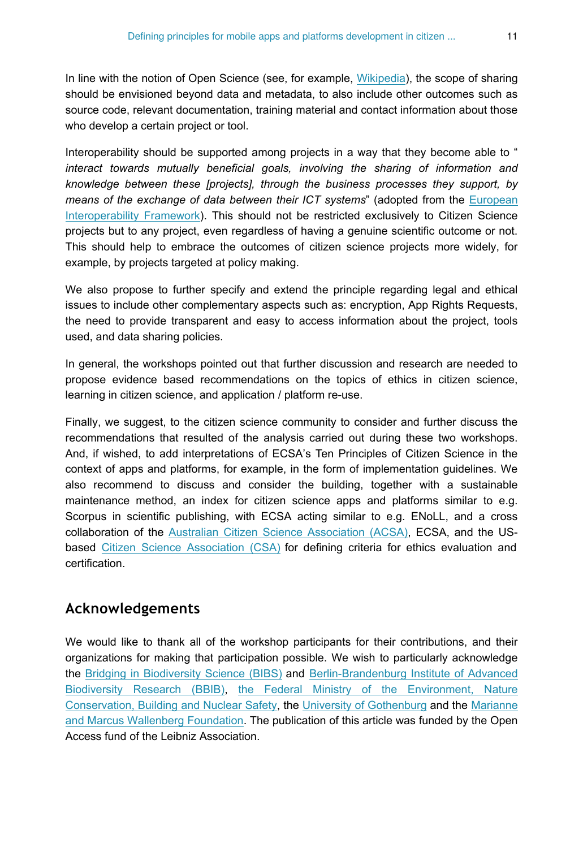In line with the notion of Open Science (see, for example, [Wikipedia](https://en.wikipedia.org/wiki/Open_science)), the scope of sharing should be envisioned beyond data and metadata, to also include other outcomes such as source code, relevant documentation, training material and contact information about those who develop a certain project or tool.

Interoperability should be supported among projects in a way that they become able to " *interact towards mutually beneficial goals, involving the sharing of information and knowledge between these [projects], through the business processes they support, by means of the exchange of data between their ICT systems*" (adopted from the [European](https://ec.europa.eu/isa2/library/european-interoperability-framework-eif-0_en) [Interoperability Framework](https://ec.europa.eu/isa2/library/european-interoperability-framework-eif-0_en)). This should not be restricted exclusively to Citizen Science projects but to any project, even regardless of having a genuine scientific outcome or not. This should help to embrace the outcomes of citizen science projects more widely, for example, by projects targeted at policy making.

We also propose to further specify and extend the principle regarding legal and ethical issues to include other complementary aspects such as: encryption, App Rights Requests, the need to provide transparent and easy to access information about the project, tools used, and data sharing policies.

In general, the workshops pointed out that further discussion and research are needed to propose evidence based recommendations on the topics of ethics in citizen science, learning in citizen science, and application / platform re-use.

Finally, we suggest, to the citizen science community to consider and further discuss the recommendations that resulted of the analysis carried out during these two workshops. And, if wished, to add interpretations of ECSA's Ten Principles of Citizen Science in the context of apps and platforms, for example, in the form of implementation guidelines. We also recommend to discuss and consider the building, together with a sustainable maintenance method, an index for citizen science apps and platforms similar to e.g. Scorpus in scientific publishing, with ECSA acting similar to e.g. ENoLL, and a cross collaboration of the [Australian Citizen Science Association \(ACSA\)](http://csna.gaiaresources.com.au/), ECSA, and the USbased [Citizen Science Association \(CSA\)](http://citizenscience.org/) for defining criteria for ethics evaluation and certification.

### **Acknowledgements**

We would like to thank all of the workshop participants for their contributions, and their organizations for making that participation possible. We wish to particularly acknowledge the [Bridging in Biodiversity Science \(BIBS\)](https://www.bbib.org/bibs-projekt.html) and [Berlin-Brandenburg Institute of Advanced](https://www.bbib.org/home.html) [Biodiversity Research \(BBIB\)](https://www.bbib.org/home.html), [the Federal Ministry of the Environment, Nature](http://www.bmub.bund.de/en/) [Conservation, Building and Nuclear Safety](http://www.bmub.bund.de/en/), the [University of Gothenburg](http://www.gu.se/) and the [Marianne](https://www.wallenberg.com/mmw/en) [and Marcus Wallenberg Foundation](https://www.wallenberg.com/mmw/en). The publication of this article was funded by the Open Access fund of the Leibniz Association.